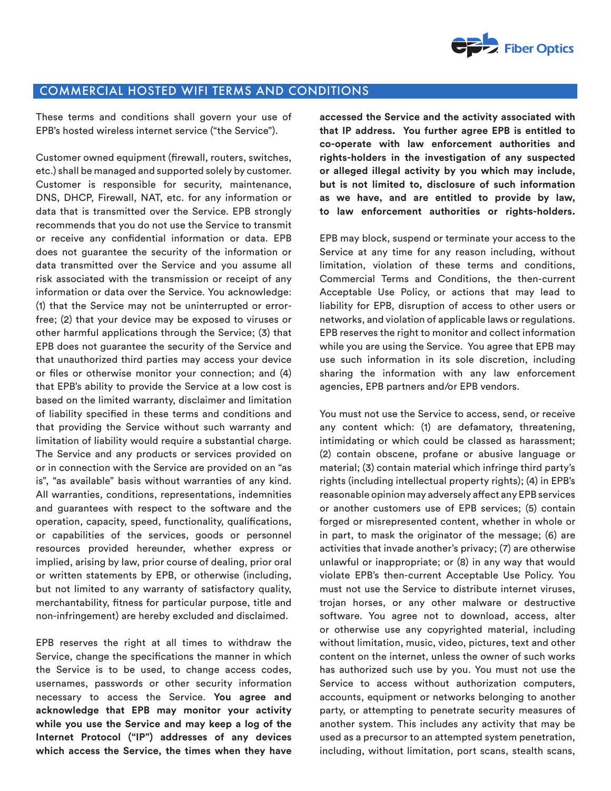

## COMMERCIAL HOSTED WIFI TERMS AND CONDITIONS

These terms and conditions shall govern your use of EPB's hosted wireless internet service ("the Service").

Customer owned equipment (firewall, routers, switches, etc.) shall be managed and supported solely by customer. Customer is responsible for security, maintenance, DNS, DHCP, Firewall, NAT, etc. for any information or data that is transmitted over the Service. EPB strongly recommends that you do not use the Service to transmit or receive any confidential information or data. EPB does not guarantee the security of the information or data transmitted over the Service and you assume all risk associated with the transmission or receipt of any information or data over the Service. You acknowledge: (1) that the Service may not be uninterrupted or errorfree; (2) that your device may be exposed to viruses or other harmful applications through the Service; (3) that EPB does not guarantee the security of the Service and that unauthorized third parties may access your device or files or otherwise monitor your connection; and (4) that EPB's ability to provide the Service at a low cost is based on the limited warranty, disclaimer and limitation of liability specified in these terms and conditions and that providing the Service without such warranty and limitation of liability would require a substantial charge. The Service and any products or services provided on or in connection with the Service are provided on an "as is", "as available" basis without warranties of any kind. All warranties, conditions, representations, indemnities and guarantees with respect to the software and the operation, capacity, speed, functionality, qualifications, or capabilities of the services, goods or personnel resources provided hereunder, whether express or implied, arising by law, prior course of dealing, prior oral or written statements by EPB, or otherwise (including, but not limited to any warranty of satisfactory quality, merchantability, fitness for particular purpose, title and non-infringement) are hereby excluded and disclaimed.

EPB reserves the right at all times to withdraw the Service, change the specifications the manner in which the Service is to be used, to change access codes, usernames, passwords or other security information necessary to access the Service. **You agree and acknowledge that EPB may monitor your activity while you use the Service and may keep a log of the Internet Protocol ("IP") addresses of any devices which access the Service, the times when they have**  **accessed the Service and the activity associated with that IP address. You further agree EPB is entitled to co-operate with law enforcement authorities and rights-holders in the investigation of any suspected or alleged illegal activity by you which may include, but is not limited to, disclosure of such information as we have, and are entitled to provide by law, to law enforcement authorities or rights-holders.** 

EPB may block, suspend or terminate your access to the Service at any time for any reason including, without limitation, violation of these terms and conditions, Commercial Terms and Conditions, the then-current Acceptable Use Policy, or actions that may lead to liability for EPB, disruption of access to other users or networks, and violation of applicable laws or regulations. EPB reserves the right to monitor and collect information while you are using the Service. You agree that EPB may use such information in its sole discretion, including sharing the information with any law enforcement agencies, EPB partners and/or EPB vendors.

You must not use the Service to access, send, or receive any content which: (1) are defamatory, threatening, intimidating or which could be classed as harassment; (2) contain obscene, profane or abusive language or material; (3) contain material which infringe third party's rights (including intellectual property rights); (4) in EPB's reasonable opinion may adversely affect any EPB services or another customers use of EPB services; (5) contain forged or misrepresented content, whether in whole or in part, to mask the originator of the message; (6) are activities that invade another's privacy; (7) are otherwise unlawful or inappropriate; or (8) in any way that would violate EPB's then-current Acceptable Use Policy. You must not use the Service to distribute internet viruses, trojan horses, or any other malware or destructive software. You agree not to download, access, alter or otherwise use any copyrighted material, including without limitation, music, video, pictures, text and other content on the internet, unless the owner of such works has authorized such use by you. You must not use the Service to access without authorization computers, accounts, equipment or networks belonging to another party, or attempting to penetrate security measures of another system. This includes any activity that may be used as a precursor to an attempted system penetration, including, without limitation, port scans, stealth scans,